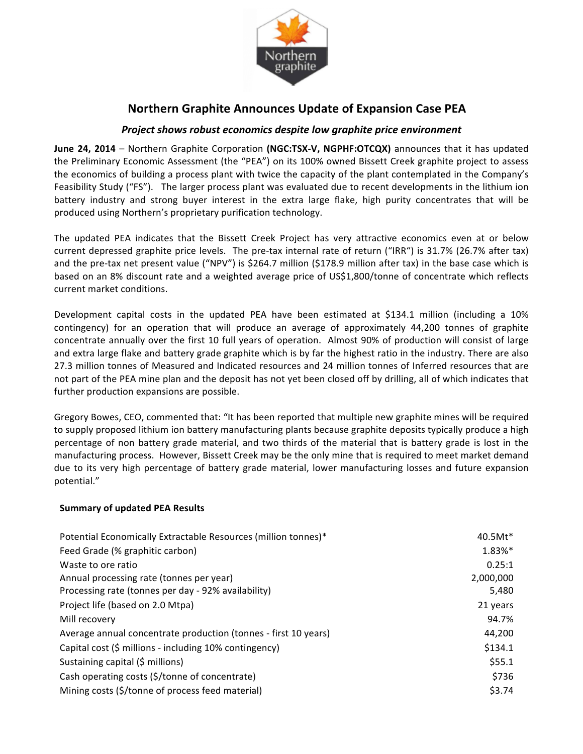

# **Northern!Graphite!Announces!Update of!Expansion!Case!PEA**

## *Project shows robust economics despite low graphite price environment*

June 24, 2014 – Northern Graphite Corporation (NGC:TSX-V, NGPHF:OTCQX) announces that it has updated the Preliminary Economic Assessment (the "PEA") on its 100% owned Bissett Creek graphite project to assess the economics of building a process plant with twice the capacity of the plant contemplated in the Company's Feasibility Study ("FS"). The larger process plant was evaluated due to recent developments in the lithium ion battery industry and strong buyer interest in the extra large flake, high purity concentrates that will be produced using Northern's proprietary purification technology.

The updated PEA indicates that the Bissett Creek Project has very attractive economics even at or below current depressed graphite price levels. The pre-tax internal rate of return ("IRR") is 31.7% (26.7% after tax) and the pre-tax net present value ("NPV") is \$264.7 million (\$178.9 million after tax) in the base case which is based on an 8% discount rate and a weighted average price of US\$1,800/tonne of concentrate which reflects current market conditions.

Development capital costs in the updated PEA have been estimated at \$134.1 million (including a 10% contingency) for an operation that will produce an average of approximately 44,200 tonnes of graphite concentrate annually over the first 10 full years of operation. Almost 90% of production will consist of large and extra large flake and battery grade graphite which is by far the highest ratio in the industry. There are also 27.3 million tonnes of Measured and Indicated resources and 24 million tonnes of Inferred resources that are not part of the PEA mine plan and the deposit has not yet been closed off by drilling, all of which indicates that further production expansions are possible.

Gregory Bowes, CEO, commented that: "It has been reported that multiple new graphite mines will be required to supply proposed lithium ion battery manufacturing plants because graphite deposits typically produce a high percentage of non battery grade material, and two thirds of the material that is battery grade is lost in the manufacturing process. However, Bissett Creek may be the only mine that is required to meet market demand due to its very high percentage of battery grade material, lower manufacturing losses and future expansion potential."

### **Summary!of!updated PEA Results!**

| Potential Economically Extractable Resources (million tonnes)*  | 40.5Mt*   |
|-----------------------------------------------------------------|-----------|
| Feed Grade (% graphitic carbon)                                 | 1.83%*    |
| Waste to ore ratio                                              | 0.25:1    |
| Annual processing rate (tonnes per year)                        | 2,000,000 |
| Processing rate (tonnes per day - 92% availability)             | 5,480     |
| Project life (based on 2.0 Mtpa)                                | 21 years  |
| Mill recovery                                                   | 94.7%     |
| Average annual concentrate production (tonnes - first 10 years) | 44,200    |
| Capital cost (\$ millions - including 10% contingency)          | \$134.1   |
| Sustaining capital (\$ millions)                                | \$55.1    |
| Cash operating costs (\$/tonne of concentrate)                  | \$736     |
| Mining costs (\$/tonne of process feed material)                | \$3.74    |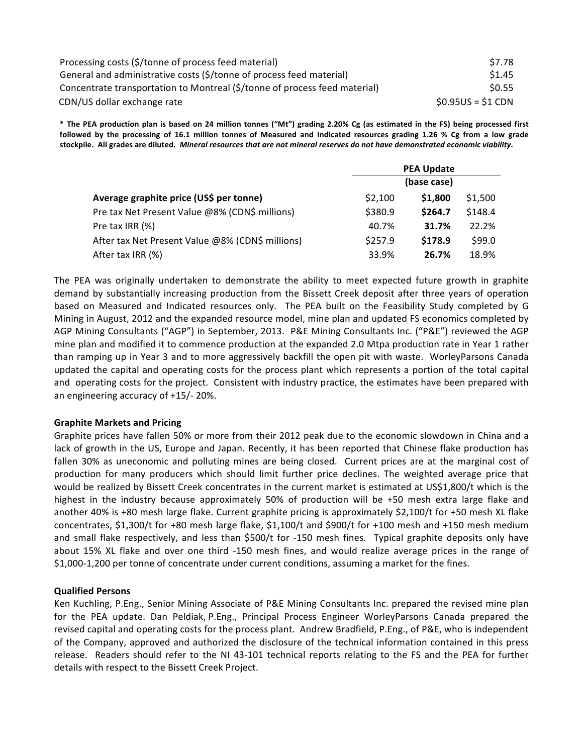| Processing costs (\$/tonne of process feed material)                       | \$7.78             |
|----------------------------------------------------------------------------|--------------------|
| General and administrative costs (\$/tonne of process feed material)       | \$1.45             |
| Concentrate transportation to Montreal (\$/tonne of process feed material) | <b>SO.55</b>       |
| CDN/US dollar exchange rate                                                | $$0.95US = $1 CDN$ |

\* The PEA production plan is based on 24 million tonnes ("Mt") grading 2.20% Cg (as estimated in the FS) being processed first followed by the processing of 16.1 million tonnes of Measured and Indicated resources grading 1.26 % Cg from a low grade stockpile. All grades are diluted. Mineral resources that are not mineral reserves do not have demonstrated economic viability.

|                                                  |             | <b>PEA Update</b> |         |  |  |  |  |  |  |  |
|--------------------------------------------------|-------------|-------------------|---------|--|--|--|--|--|--|--|
|                                                  | (base case) |                   |         |  |  |  |  |  |  |  |
| Average graphite price (US\$ per tonne)          | \$2,100     | \$1,800           | \$1,500 |  |  |  |  |  |  |  |
| Pre tax Net Present Value @8% (CDN\$ millions)   | \$380.9     | \$264.7           | \$148.4 |  |  |  |  |  |  |  |
| Pre tax IRR (%)                                  | 40.7%       | 31.7%             | 22.2%   |  |  |  |  |  |  |  |
| After tax Net Present Value @8% (CDN\$ millions) | \$257.9     | \$178.9           | \$99.0  |  |  |  |  |  |  |  |
| After tax IRR (%)                                | 33.9%       | 26.7%             | 18.9%   |  |  |  |  |  |  |  |

The PEA was originally undertaken to demonstrate the ability to meet expected future growth in graphite demand by substantially increasing production from the Bissett Creek deposit after three years of operation based on Measured and Indicated resources only. The PEA built on the Feasibility Study completed by G Mining in August, 2012 and the expanded resource model, mine plan and updated FS economics completed by AGP Mining Consultants ("AGP") in September, 2013. P&E Mining Consultants Inc. ("P&E") reviewed the AGP mine plan and modified it to commence production at the expanded 2.0 Mtpa production rate in Year 1 rather than ramping up in Year 3 and to more aggressively backfill the open pit with waste. WorleyParsons Canada updated the capital and operating costs for the process plant which represents a portion of the total capital and operating costs for the project. Consistent with industry practice, the estimates have been prepared with an engineering accuracy of  $+15/-20$ %.

### **Graphite Markets and Pricing**

Graphite prices have fallen 50% or more from their 2012 peak due to the economic slowdown in China and a lack of growth in the US, Europe and Japan. Recently, it has been reported that Chinese flake production has fallen 30% as uneconomic and polluting mines are being closed. Current prices are at the marginal cost of production for many producers which should limit further price declines. The weighted average price that would be realized by Bissett Creek concentrates in the current market is estimated at US\$1,800/t which is the highest in the industry because approximately 50% of production will be  $+50$  mesh extra large flake and another 40% is +80 mesh large flake. Current graphite pricing is approximately \$2,100/t for +50 mesh XL flake concentrates,  $$1,300/t$  for +80 mesh large flake,  $$1,100/t$  and  $$900/t$  for +100 mesh and +150 mesh medium and small flake respectively, and less than \$500/t for -150 mesh fines. Typical graphite deposits only have about 15% XL flake and over one third -150 mesh fines, and would realize average prices in the range of \$1,000-1,200 per tonne of concentrate under current conditions, assuming a market for the fines.

### **Qualified!Persons**

Ken Kuchling, P.Eng., Senior Mining Associate of P&E Mining Consultants Inc. prepared the revised mine plan for the PEA update. Dan Peldiak, P.Eng., Principal Process Engineer WorleyParsons Canada prepared the revised capital and operating costs for the process plant. Andrew Bradfield, P.Eng., of P&E, who is independent of the Company, approved and authorized the disclosure of the technical information contained in this press release. Readers should refer to the NI 43-101 technical reports relating to the FS and the PEA for further details with respect to the Bissett Creek Project.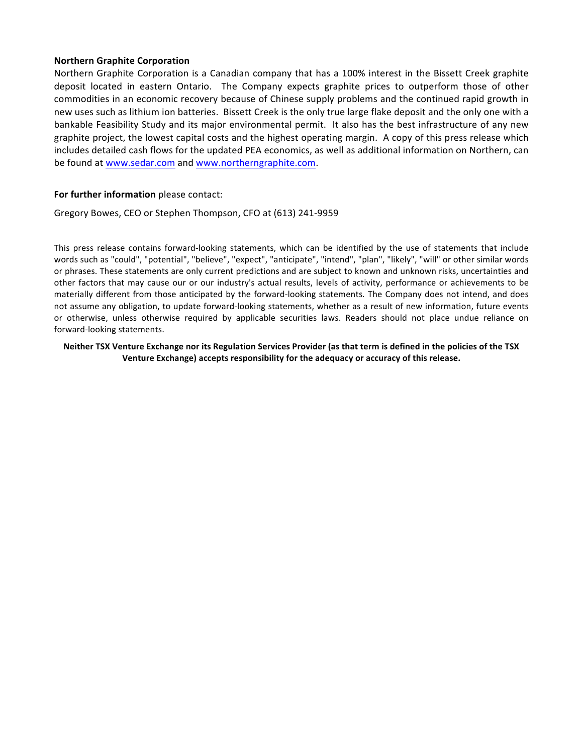#### **Northern!Graphite Corporation**

Northern Graphite Corporation is a Canadian company that has a 100% interest in the Bissett Creek graphite deposit located in eastern Ontario. The Company expects graphite prices to outperform those of other commodities in an economic recovery because of Chinese supply problems and the continued rapid growth in new uses such as lithium ion batteries. Bissett Creek is the only true large flake deposit and the only one with a bankable Feasibility Study and its major environmental permit. It also has the best infrastructure of any new graphite project, the lowest capital costs and the highest operating margin. A copy of this press release which includes detailed cash flows for the updated PEA economics, as well as additional information on Northern, can be found at www.sedar.com and www.northerngraphite.com.

#### For further information please contact:

Gregory Bowes, CEO or Stephen Thompson, CFO at (613) 241-9959

This press release contains forward-looking statements, which can be identified by the use of statements that include words such as "could", "potential", "believe", "expect", "anticipate", "intend", "plan", "likely", "will" or other similar words or phrases. These statements are only current predictions and are subject to known and unknown risks, uncertainties and other factors that may cause our or our industry's actual results, levels of activity, performance or achievements to be materially different from those anticipated by the forward-looking statements. The Company does not intend, and does not assume any obligation, to update forward-looking statements, whether as a result of new information, future events or otherwise, unless otherwise required by applicable securities laws. Readers should not place undue reliance on forward-looking statements.

#### Neither TSX Venture Exchange nor its Regulation Services Provider (as that term is defined in the policies of the TSX Venture Exchange) accepts responsibility for the adequacy or accuracy of this release.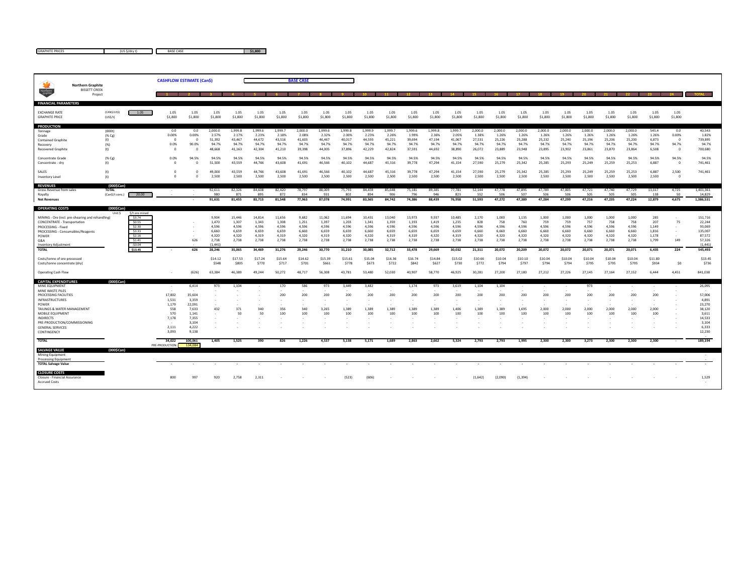|                                                                                                                                                                                                                        | <b>Northern Graphite</b>        |                                               |                                                                                 | <b>CASHFLOW ESTIMATE (Can\$)</b>                                  |                                                                                 |                                                                         | <b>BASE CASE</b>                                              |                                                               |                                                               |                                                              |                                                               |                                                               |                                                               |                                                               |                                                               |                                                              |                                                               |                                                            |                                                            |                                                            |                                                            |                                                            |                                                            |                                                            |                                                            |                                                         |                                                 |                                                                                    |  |
|------------------------------------------------------------------------------------------------------------------------------------------------------------------------------------------------------------------------|---------------------------------|-----------------------------------------------|---------------------------------------------------------------------------------|-------------------------------------------------------------------|---------------------------------------------------------------------------------|-------------------------------------------------------------------------|---------------------------------------------------------------|---------------------------------------------------------------|---------------------------------------------------------------|--------------------------------------------------------------|---------------------------------------------------------------|---------------------------------------------------------------|---------------------------------------------------------------|---------------------------------------------------------------|---------------------------------------------------------------|--------------------------------------------------------------|---------------------------------------------------------------|------------------------------------------------------------|------------------------------------------------------------|------------------------------------------------------------|------------------------------------------------------------|------------------------------------------------------------|------------------------------------------------------------|------------------------------------------------------------|------------------------------------------------------------|---------------------------------------------------------|-------------------------------------------------|------------------------------------------------------------------------------------|--|
| <b>Sortherr</b><br>@aphis                                                                                                                                                                                              | <b>BISSETT CREEK</b><br>Project |                                               |                                                                                 |                                                                   |                                                                                 |                                                                         |                                                               |                                                               |                                                               |                                                              |                                                               |                                                               |                                                               |                                                               |                                                               |                                                              |                                                               |                                                            |                                                            |                                                            |                                                            |                                                            |                                                            |                                                            |                                                            |                                                         |                                                 |                                                                                    |  |
| <b>FINANCIAL PARAMETERS</b>                                                                                                                                                                                            |                                 |                                               |                                                                                 |                                                                   |                                                                                 |                                                                         |                                                               |                                                               |                                                               |                                                              |                                                               |                                                               |                                                               |                                                               |                                                               |                                                              |                                                               |                                                            |                                                            |                                                            |                                                            |                                                            |                                                            |                                                            |                                                            |                                                         |                                                 |                                                                                    |  |
| <b>EXCHANGE RATE</b><br><b>GRAPHITE PRICE</b>                                                                                                                                                                          |                                 | (CANS/USS)<br>(USS/t)                         | 1.05                                                                            | 1.05<br>\$1,800                                                   | 1.05<br>\$1,800                                                                 | 1.05<br>\$1,800                                                         | 1.05<br>\$1,800                                               | 1.05<br>\$1,800                                               | 1.05<br>\$1,800                                               | 1.05<br>\$1,800                                              | 1.05<br>\$1,800                                               | 1.05<br>\$1,800                                               | 1.05<br>\$1,800                                               | 1.05<br>\$1,800                                               | 1.05<br>\$1,800                                               | 1.05<br>\$1,800                                              | 1.05<br>\$1,800                                               | 1.05<br>\$1,800                                            | 1.05<br>\$1,800                                            | 1.05<br>\$1,800                                            | 1.05<br>\$1,800                                            | 1.05<br>\$1,800                                            | 1.05<br>\$1,800                                            | 1.05<br>\$1,800                                            | 1.05<br>\$1,800                                            | 1.05<br>\$1,800                                         | 1.05<br>\$1,800                                 |                                                                                    |  |
| <b>PRODUCTION</b>                                                                                                                                                                                                      |                                 |                                               |                                                                                 |                                                                   |                                                                                 |                                                                         |                                                               |                                                               |                                                               |                                                              |                                                               |                                                               |                                                               |                                                               |                                                               |                                                              |                                                               |                                                            |                                                            |                                                            |                                                            |                                                            |                                                            |                                                            |                                                            |                                                         |                                                 |                                                                                    |  |
| Tonnage<br>Grade<br><b>Contained Graphite</b><br>Recovery<br><b>Recovered Graphite</b>                                                                                                                                 |                                 | (000t)<br>(% Cg)<br>(t)<br>(% )<br>(t)        |                                                                                 | 0.0<br>0.00%<br>$\Omega$<br>0.0%<br>$\Omega$                      | 0.0<br>0.00%<br>90.0%                                                           | 2.000.0<br>2.57%<br>51,392<br>94.7%<br>48,668                           | 1,999.8<br>2.17%<br>43,467<br>94.7%<br>41,163                 | 1,999.6<br>2.23%<br>44,672<br>94.7%<br>42,304                 | 1,999.7<br>2.18%<br>43,516<br>94.7%<br>41,210                 | 2,000.0<br>2.08%<br>41,603<br>94.7%<br>39,398                | 1,999.6<br>2.32%<br>46,467<br>94.7%<br>44,005                 | 1,999.8<br>2.00%<br>40,017<br>94.7%<br>37,896                 | 1,999.9<br>2.23%<br>44,593<br>94.7%<br>42,229                 | 1,999.7<br>2.26%<br>45,221<br>94.7%<br>42,824                 | 1.999.6<br>1.99%<br>39,694<br>94.7%<br>37,591                 | 1,999.8<br>2.36%<br>47,194<br>94.7%<br>44,692                | 1.999.7<br>2.05%<br>41,067<br>94.7%<br>38,890                 | 2,000.0<br>1.38%<br>27,531<br>94.7%<br>26,072              | 2,000.0<br>1.26%<br>25,226<br>94.7%<br>23,889              | 2,000.0<br>1.26%<br>25,288<br>94.7%<br>23,948              | 2,000.0<br>1.26%<br>25,232<br>94.7%<br>23,895              | 2,000.0<br>1.26%<br>25,240<br>94.7%<br>23,902              | 2,000.0<br>1.26%<br>25,196<br>94.7%<br>23,861              | 2,000.0<br>1.26%<br>25,206<br>94.7%<br>23,870              | 2.000.0<br>1.26%<br>25,200<br>94.7%<br>23,864              | 545.4<br>1.26%<br>6,873<br>94.7%<br>6,508               | 0.0<br>0.00%<br>$\Omega$<br>94.7%<br>$^{\circ}$ | 40,543<br>1.82%<br>739,895<br>94.7%<br>700,680                                     |  |
| Concentrate Grade<br>Concentrate - dry                                                                                                                                                                                 |                                 | (% Cg)<br>(t)                                 |                                                                                 | 0.0%<br>$\Omega$                                                  | 94.5%                                                                           | 94.5%<br>51,500                                                         | 94.5%<br>43,559                                               | 94.5%<br>44,766                                               | 94.5%<br>43,608                                               | 94.5%<br>41,691                                              | 94.5%<br>46,566                                               | 94.5%<br>40,102                                               | 94.5%<br>44,687                                               | 94.5%<br>45,316                                               | 94.5%<br>39,778                                               | 94.5%<br>47,294                                              | 94.5%<br>41,154                                               | 94.5%<br>27,590                                            | 94.5%<br>25,279                                            | 94.5%<br>25,342                                            | 94.5%<br>25,285                                            | 94.5%<br>25,293                                            | 94.5%<br>25,249                                            | 94.5%<br>25,259                                            | 94.5%<br>25,253                                            | 94.5%<br>6,887                                          | 94.5%<br>$^{\circ}$                             | 94.5%<br>741,461                                                                   |  |
| SALES<br>Inventory Leve                                                                                                                                                                                                |                                 | (t)<br>(t)                                    |                                                                                 | $\Omega$<br>$\Omega$                                              |                                                                                 | 49,000<br>2,500                                                         | 43,559<br>2,500                                               | 44,766<br>2,500                                               | 43,608<br>2,500                                               | 41,691<br>2,500                                              | 46,566<br>2,500                                               | 40,102<br>2,500                                               | 44,687<br>2,500                                               | 45,316<br>2,500                                               | 39,778<br>2,500                                               | 47,294<br>2,500                                              | 41,154<br>2,500                                               | 27,590<br>2,500                                            | 25,279<br>2,500                                            | 25,342<br>2,500                                            | 25,285<br>2,500                                            | 25,293<br>2,500                                            | 25,249<br>2,500                                            | 25,259<br>2,500                                            | 25,253<br>2,500                                            | 6,887<br>2,500                                          | 2,500<br>$^{\circ}$                             | 741,461                                                                            |  |
| <b>REVENUES</b><br>Gross Revenue from sales<br>Royalty<br><b>Net Revenues</b>                                                                                                                                          |                                 | (000\$Can)<br><b>TOTAL</b><br>(Can\$/t conc.) | 20.00                                                                           |                                                                   |                                                                                 | 92,611<br>980<br>91,631                                                 | 82.326<br>871<br>81,455                                       | 84,608<br>895<br>83,713                                       | 82,420<br>872<br>81,548                                       | 78,797<br>834<br>77,963                                      | 88,009<br>931<br>87,078                                       | 75,793<br>802<br>74,991                                       | 84,459<br>894<br>83,565                                       | 85,648<br>906<br>84,742                                       | 75,181<br>796<br>74,386                                       | 89,385<br>QAE<br>88,439                                      | 77,781<br>823<br>76,958                                       | 52,144<br>552<br>51,593                                    | 47,778<br>506<br>47,272                                    | 47,895<br>507<br>47,389                                    | 47,789<br>506<br>47,284                                    | 47,805<br>506<br>47,299                                    | 47,721<br>505<br>47,216                                    | 47,740<br>505<br>47,235                                    | 47,729<br>505<br>47,224                                    | 13,017<br>138<br>12,879                                 | 4,725<br>50<br>4,675                            | 1,401,361<br>14.829<br>1,386,531                                                   |  |
| <b>OPERATING COSTS</b>                                                                                                                                                                                                 |                                 | (000\$Can)<br>Unit S                          | S/t ore mined                                                                   |                                                                   |                                                                                 |                                                                         |                                                               |                                                               |                                                               |                                                              |                                                               |                                                               |                                                               |                                                               |                                                               |                                                              |                                                               |                                                            |                                                            |                                                            |                                                            |                                                            |                                                            |                                                            |                                                            |                                                         |                                                 |                                                                                    |  |
| MINING - Ore (incl. pre-shearing and rehandling)<br><b>CONCENTRATE - Transportation</b><br>PROCESSING - Fixed<br>PROCESSING - Consumables/Reagents<br>POWER<br>G&A<br><b>Inventory Adjustment</b><br><b>TOTAL</b>      |                                 |                                               | \$3,74<br>\$0.55<br>\$2.30<br>\$3.33<br>\$2.16<br>\$1.41<br>$-S0.04$<br>\$13.45 |                                                                   | 626<br>626                                                                      | 9.904<br>1,470<br>4.596<br>6,660<br>4,320<br>2,738<br>(1.441)<br>28,246 | 15,446<br>1,307<br>4.596<br>6,659<br>4,320<br>2,738<br>35,065 | 14,814<br>1,343<br>4,596<br>6,659<br>4,319<br>2,738<br>34,469 | 11,656<br>1,308<br>4.596<br>6,659<br>4,319<br>2,738<br>31,276 | 9,682<br>1,251<br>4,596<br>6,660<br>4,320<br>2,738<br>29,246 | 11,062<br>1,397<br>4,596<br>6,659<br>4,319<br>2,738<br>30,770 | 11,694<br>1,203<br>4,596<br>6,659<br>4,320<br>2,738<br>31,210 | 10,431<br>1,341<br>4,596<br>6,660<br>4,320<br>2,738<br>30,085 | 13,040<br>1,359<br>4.596<br>6,659<br>4,319<br>2,738<br>32,712 | 13,973<br>1,193<br>4,596<br>6,659<br>4,319<br>2,738<br>33,478 | 9,937<br>1,419<br>4,596<br>6,659<br>4,320<br>2,738<br>29,669 | 10,485<br>1,235<br>4,596<br>6,659<br>4,319<br>2,738<br>30,032 | 2,170<br>828<br>4,596<br>6,660<br>4,320<br>2,738<br>21,311 | 1,000<br>758<br>4,596<br>6,660<br>4,320<br>2,738<br>20,072 | 1,135<br>760<br>4,596<br>6,660<br>4,320<br>2,738<br>20,209 | 1,000<br>759<br>4,596<br>6,660<br>4,320<br>2,738<br>20,072 | 1,000<br>759<br>4,596<br>6,660<br>4,320<br>2,738<br>20,072 | 1,000<br>757<br>4,596<br>6,660<br>4,320<br>2,738<br>20,071 | 1,000<br>758<br>4,596<br>6,660<br>4,320<br>2,738<br>20,071 | 1.000<br>758<br>4,596<br>6,660<br>4,320<br>2,738<br>20,071 | 285<br>207<br>1.149<br>1,816<br>1,178<br>1,799<br>6,435 | 75<br>$\sim$<br>$\sim$<br>149<br>224            | 151,716<br>22,244<br>93,069<br>135,007<br>87,572<br>57,326<br>(1.441)<br>545,493   |  |
|                                                                                                                                                                                                                        |                                 |                                               |                                                                                 |                                                                   |                                                                                 |                                                                         |                                                               |                                                               |                                                               | \$14.62                                                      |                                                               |                                                               |                                                               |                                                               | \$16.74                                                       |                                                              |                                                               |                                                            |                                                            | \$10.10                                                    | \$10.04                                                    | \$10.04                                                    | \$10.04                                                    | \$10.04                                                    |                                                            |                                                         |                                                 |                                                                                    |  |
| Costs/tonne of ore processed<br>Costs/tonne concentrate (dry)                                                                                                                                                          |                                 |                                               |                                                                                 |                                                                   |                                                                                 | \$14.12<br>\$548                                                        | \$17.53<br>\$805                                              | \$17.24<br>\$770                                              | \$15.64<br>\$717                                              | \$701                                                        | \$15.39<br>\$661                                              | \$15.61<br>\$778                                              | \$15.04<br>\$673                                              | \$16.36<br>\$722                                              | \$842                                                         | \$14.84<br>\$627                                             | \$15.02<br>\$730                                              | \$10.66<br>\$772                                           | \$10.04<br>\$794                                           | \$797                                                      | \$794                                                      | \$794                                                      | \$795                                                      | \$795                                                      | \$10.04<br>\$795                                           | \$11.80<br>\$934                                        | \$0                                             | \$13.45<br>\$736                                                                   |  |
| Operating Cash Flow                                                                                                                                                                                                    |                                 |                                               |                                                                                 |                                                                   | (626)                                                                           | 63,384                                                                  | 46.389                                                        | 49.244                                                        | 50,272                                                        | 48,717                                                       | 56,308                                                        | 43,781                                                        | 53,480                                                        | 52,030                                                        | 40.907                                                        | 58,770                                                       | 46,925                                                        | 30,281                                                     | 27,200                                                     | 27,180                                                     | 27,212                                                     | 27,226                                                     | 27,145                                                     | 27,164                                                     | 27,152                                                     | 6.444                                                   | 4,451                                           | 841,038                                                                            |  |
| <b>CAPITAL EXPENDITURES</b><br>MINE EQUIPMENT                                                                                                                                                                          |                                 | (000\$Can)                                    |                                                                                 |                                                                   | 6,414                                                                           | 973                                                                     | 1,104                                                         |                                                               | 170                                                           | 586                                                          | 973                                                           | 3,449                                                         | 3,482                                                         |                                                               | 1,174                                                         | 973                                                          | 3,619                                                         | 1,104                                                      | 1.104                                                      |                                                            |                                                            |                                                            | 973                                                        |                                                            |                                                            |                                                         |                                                 | 26,095                                                                             |  |
| MINE WASTE PILES<br>PROCESSING FACILITIES<br>INFRASTRUCTURES<br>POWER<br>TAILINGS & WATER MANAGEMENT<br>MOBILE EQUIPMENT<br><b>INDIRECTS</b><br>PRE-PRODUCTION/COMMISSIONING<br><b>GENERAL SERVICES</b><br>CONTINGENCY |                                 |                                               |                                                                                 | 17,802<br>1,531<br>1.179<br>558<br>570<br>7,178<br>2,111<br>3,093 | 35,604<br>3,359<br>22,091<br>7,633<br>1.141<br>7,355<br>3,104<br>4,222<br>9,138 | 432                                                                     | 371<br>50                                                     | 340<br>50                                                     | 200<br>356<br>100                                             | 200<br>340<br>100                                            | 200<br>3,265<br>100                                           | 200<br>1,389<br>100                                           | 200<br>1,389<br>100                                           | 200<br>1,389<br>100                                           | 200<br>1,389<br>100                                           | 200<br>1,389<br>100                                          | 200<br>1,406<br>100                                           | 200<br>1,389<br>100                                        | 200<br>1,389<br>100                                        | 200<br>1,695<br>100                                        | 200<br>2,000<br>100                                        | 200<br>2,000<br>100                                        | 200<br>2,000<br>100                                        | 200<br>2,000<br>100                                        | 200<br>2,000<br>100                                        | 200<br>2,000<br>100                                     |                                                 | 57,006<br>4,891<br>23,270<br>38,120<br>3.611<br>14,533<br>3,104<br>6,333<br>12,230 |  |
| <b>TOTAL</b>                                                                                                                                                                                                           |                                 |                                               |                                                                                 | 34,022<br>PRE-PRODUCTION:                                         | 100,061<br>134,084                                                              | 1,405                                                                   | 1,525                                                         | 390                                                           | 826                                                           | 1,226                                                        | 4,537                                                         | 5,138                                                         | 5,171                                                         | 1,689                                                         | 2,863                                                         | 2,662                                                        | 5,324                                                         | 2,793                                                      | 2,793                                                      | 1,995                                                      | 2,300                                                      | 2,300                                                      | 3,273                                                      | 2,300                                                      | 2,300                                                      | 2,300                                                   |                                                 | 189,194                                                                            |  |
| <b>SALVAGE VALUE</b><br>Mining Equipment<br>Processing Equipment<br><b>TOTAL Salvage Value</b>                                                                                                                         |                                 | (000\$Can)                                    |                                                                                 |                                                                   |                                                                                 |                                                                         |                                                               |                                                               |                                                               |                                                              |                                                               |                                                               |                                                               |                                                               |                                                               |                                                              |                                                               |                                                            |                                                            |                                                            |                                                            |                                                            |                                                            |                                                            |                                                            |                                                         |                                                 |                                                                                    |  |
| <b>CLOSURE COSTS</b><br>Closure - Financial Assurance<br><b>Accrued Costs</b>                                                                                                                                          |                                 |                                               |                                                                                 | 800                                                               | 997                                                                             | 920                                                                     | 2,758                                                         | 2,311                                                         |                                                               |                                                              |                                                               | (523)                                                         | (606)                                                         |                                                               |                                                               |                                                              |                                                               | (1,642)                                                    | (2,090)                                                    | (1, 394)                                                   |                                                            |                                                            |                                                            |                                                            |                                                            |                                                         |                                                 | 1,529                                                                              |  |